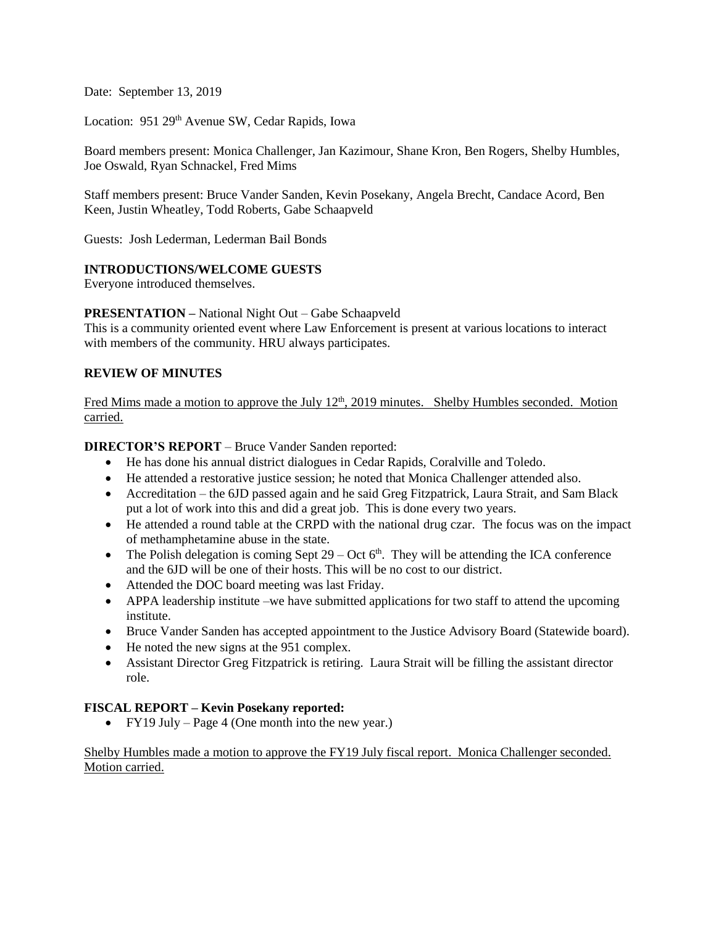Date: September 13, 2019

Location: 951 29<sup>th</sup> Avenue SW, Cedar Rapids, Iowa

Board members present: Monica Challenger, Jan Kazimour, Shane Kron, Ben Rogers, Shelby Humbles, Joe Oswald, Ryan Schnackel, Fred Mims

Staff members present: Bruce Vander Sanden, Kevin Posekany, Angela Brecht, Candace Acord, Ben Keen, Justin Wheatley, Todd Roberts, Gabe Schaapveld

Guests: Josh Lederman, Lederman Bail Bonds

## **INTRODUCTIONS/WELCOME GUESTS**

Everyone introduced themselves.

## **PRESENTATION –** National Night Out – Gabe Schaapveld

This is a community oriented event where Law Enforcement is present at various locations to interact with members of the community. HRU always participates.

## **REVIEW OF MINUTES**

Fred Mims made a motion to approve the July 12<sup>th</sup>, 2019 minutes. Shelby Humbles seconded. Motion carried.

**DIRECTOR'S REPORT** – Bruce Vander Sanden reported:

- He has done his annual district dialogues in Cedar Rapids, Coralville and Toledo.
- He attended a restorative justice session; he noted that Monica Challenger attended also.
- Accreditation the 6JD passed again and he said Greg Fitzpatrick, Laura Strait, and Sam Black put a lot of work into this and did a great job. This is done every two years.
- He attended a round table at the CRPD with the national drug czar. The focus was on the impact of methamphetamine abuse in the state.
- The Polish delegation is coming Sept  $29 Oct 6<sup>th</sup>$ . They will be attending the ICA conference and the 6JD will be one of their hosts. This will be no cost to our district.
- Attended the DOC board meeting was last Friday.
- APPA leadership institute –we have submitted applications for two staff to attend the upcoming institute.
- Bruce Vander Sanden has accepted appointment to the Justice Advisory Board (Statewide board).
- He noted the new signs at the 951 complex.
- Assistant Director Greg Fitzpatrick is retiring. Laura Strait will be filling the assistant director role.

## **FISCAL REPORT – Kevin Posekany reported:**

• FY19 July – Page 4 (One month into the new year.)

Shelby Humbles made a motion to approve the FY19 July fiscal report. Monica Challenger seconded. Motion carried.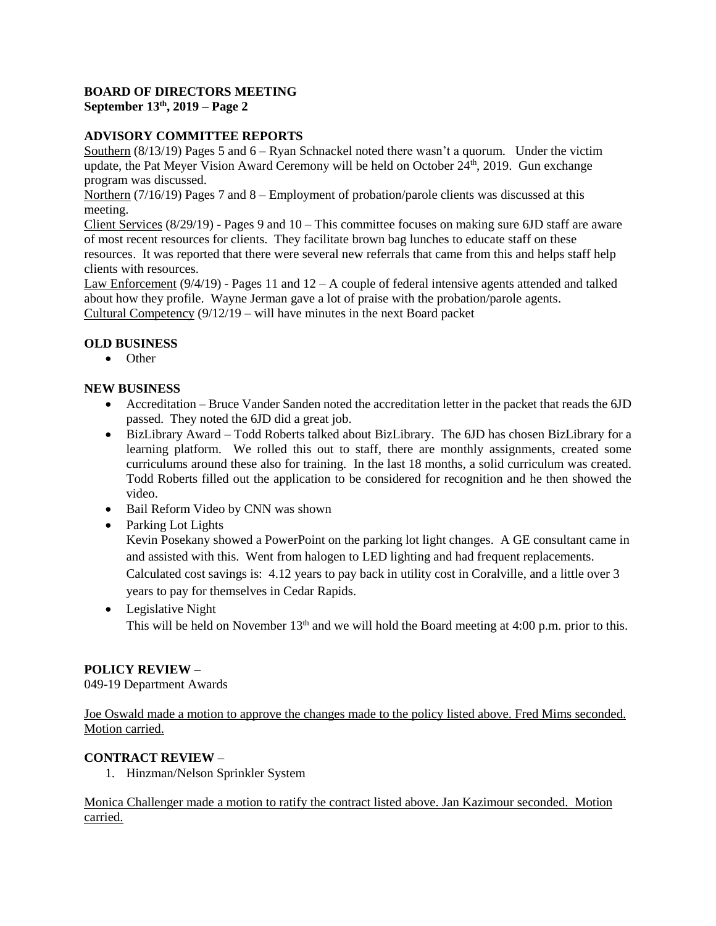## **BOARD OF DIRECTORS MEETING September 13th, 2019 – Page 2**

# **ADVISORY COMMITTEE REPORTS**

Southern (8/13/19) Pages 5 and 6 – Ryan Schnackel noted there wasn't a quorum. Under the victim update, the Pat Meyer Vision Award Ceremony will be held on October  $24^{\text{th}}$ , 2019. Gun exchange program was discussed.

Northern (7/16/19) Pages 7 and 8 – Employment of probation/parole clients was discussed at this meeting.

Client Services  $(8/29/19)$  - Pages 9 and  $10$  – This committee focuses on making sure 6JD staff are aware of most recent resources for clients. They facilitate brown bag lunches to educate staff on these resources. It was reported that there were several new referrals that came from this and helps staff help clients with resources.

Law Enforcement  $(9/4/19)$  - Pages 11 and  $12 - A$  couple of federal intensive agents attended and talked about how they profile. Wayne Jerman gave a lot of praise with the probation/parole agents. Cultural Competency (9/12/19 – will have minutes in the next Board packet

# **OLD BUSINESS**

• Other

## **NEW BUSINESS**

- Accreditation Bruce Vander Sanden noted the accreditation letter in the packet that reads the 6JD passed. They noted the 6JD did a great job.
- BizLibrary Award Todd Roberts talked about BizLibrary. The 6JD has chosen BizLibrary for a learning platform. We rolled this out to staff, there are monthly assignments, created some curriculums around these also for training. In the last 18 months, a solid curriculum was created. Todd Roberts filled out the application to be considered for recognition and he then showed the video.
- Bail Reform Video by CNN was shown
- Parking Lot Lights

Kevin Posekany showed a PowerPoint on the parking lot light changes. A GE consultant came in and assisted with this. Went from halogen to LED lighting and had frequent replacements. Calculated cost savings is: 4.12 years to pay back in utility cost in Coralville, and a little over 3 years to pay for themselves in Cedar Rapids.

• Legislative Night This will be held on November  $13<sup>th</sup>$  and we will hold the Board meeting at 4:00 p.m. prior to this.

# **POLICY REVIEW –**

049-19 Department Awards

Joe Oswald made a motion to approve the changes made to the policy listed above. Fred Mims seconded. Motion carried.

## **CONTRACT REVIEW** –

1. Hinzman/Nelson Sprinkler System

Monica Challenger made a motion to ratify the contract listed above. Jan Kazimour seconded. Motion carried.